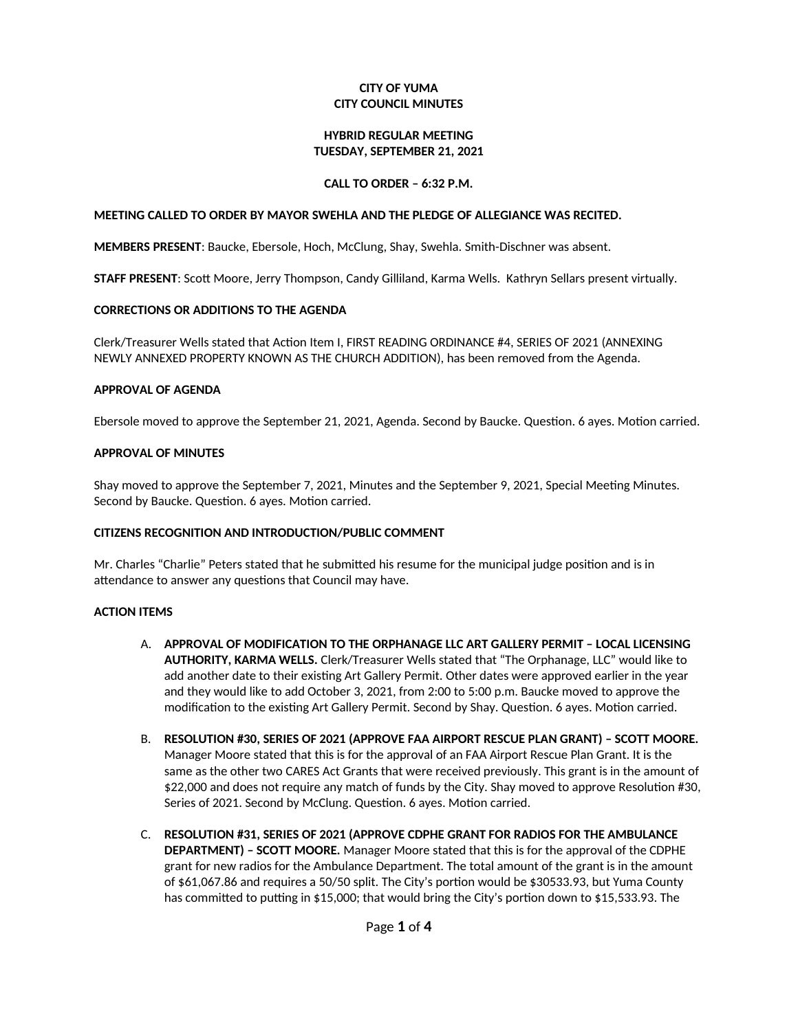### **CITY OF YUMA CITY COUNCIL MINUTES**

### **HYBRID REGULAR MEETING** TUESDAY, SEPTEMBER 21, 2021

### CALL TO ORDER - 6:32 P.M.

#### MEETING CALLED TO ORDER BY MAYOR SWEHLA AND THE PLEDGE OF ALLEGIANCE WAS RECITED.

MEMBERS PRESENT: Baucke, Ebersole, Hoch, McClung, Shay, Swehla. Smith-Dischner was absent.

STAFF PRESENT: Scott Moore, Jerry Thompson, Candy Gilliland, Karma Wells. Kathryn Sellars present virtually.

### **CORRECTIONS OR ADDITIONS TO THE AGENDA**

Clerk/Treasurer Wells stated that Action Item I, FIRST READING ORDINANCE #4, SERIES OF 2021 (ANNEXING NEWLY ANNEXED PROPERTY KNOWN AS THE CHURCH ADDITION), has been removed from the Agenda.

### **APPROVAL OF AGENDA**

Ebersole moved to approve the September 21, 2021, Agenda. Second by Baucke. Question. 6 ayes. Motion carried.

### **APPROVAL OF MINUTES**

Shay moved to approve the September 7, 2021, Minutes and the September 9, 2021, Special Meeting Minutes. Second by Baucke. Question. 6 ayes. Motion carried.

# **CITIZENS RECOGNITION AND INTRODUCTION/PUBLIC COMMENT**

Mr. Charles "Charlie" Peters stated that he submitted his resume for the municipal judge position and is in attendance to answer any questions that Council may have.

# **ACTION ITEMS**

- A. APPROVAL OF MODIFICATION TO THE ORPHANAGE LLC ART GALLERY PERMIT LOCAL LICENSING AUTHORITY, KARMA WELLS. Clerk/Treasurer Wells stated that "The Orphanage, LLC" would like to add another date to their existing Art Gallery Permit. Other dates were approved earlier in the year and they would like to add October 3, 2021, from 2:00 to 5:00 p.m. Baucke moved to approve the modification to the existing Art Gallery Permit. Second by Shay. Question. 6 ayes. Motion carried.
- B. RESOLUTION #30, SERIES OF 2021 (APPROVE FAA AIRPORT RESCUE PLAN GRANT) SCOTT MOORE. Manager Moore stated that this is for the approval of an FAA Airport Rescue Plan Grant. It is the same as the other two CARES Act Grants that were received previously. This grant is in the amount of \$22,000 and does not require any match of funds by the City. Shay moved to approve Resolution #30, Series of 2021. Second by McClung. Question. 6 ayes. Motion carried.
- C. RESOLUTION #31, SERIES OF 2021 (APPROVE CDPHE GRANT FOR RADIOS FOR THE AMBULANCE DEPARTMENT) - SCOTT MOORE. Manager Moore stated that this is for the approval of the CDPHE grant for new radios for the Ambulance Department. The total amount of the grant is in the amount of \$61,067.86 and requires a 50/50 split. The City's portion would be \$30533.93, but Yuma County has committed to putting in \$15,000; that would bring the City's portion down to \$15,533.93. The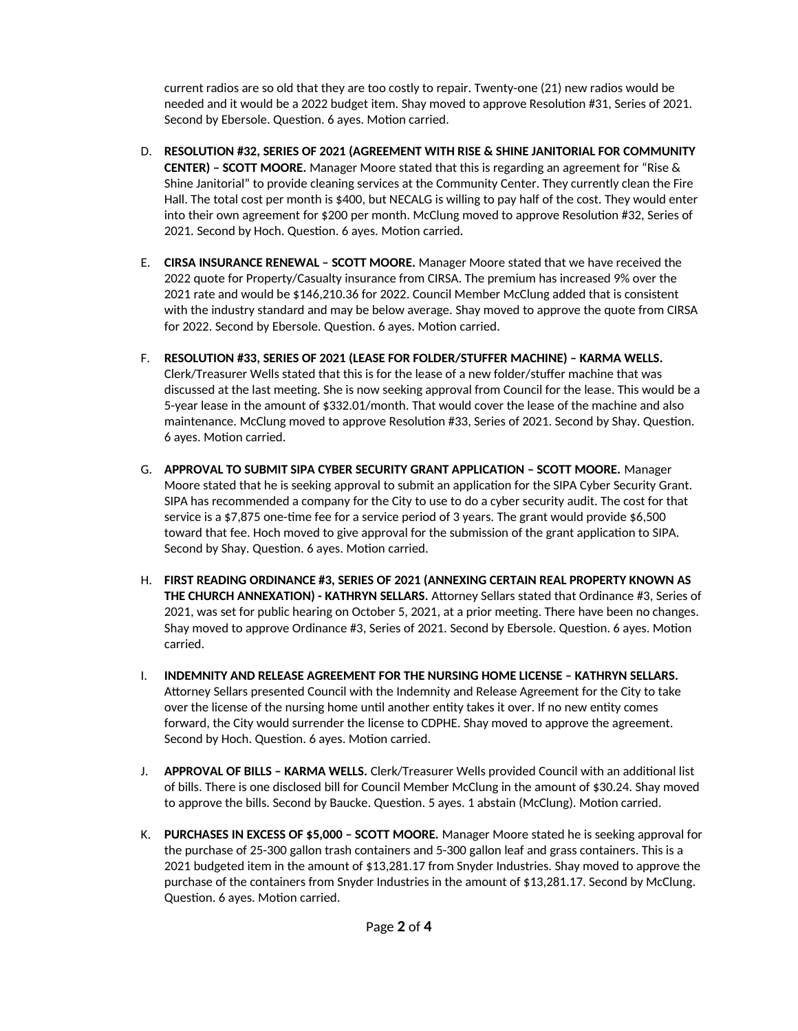current radios are so old that they are too costly to repair. Twenty-one (21) new radios would be needed and it would be a 2022 budget item. Shay moved to approve Resolution #31, Series of 2021. Second by Ebersole. Question. 6 ayes. Motion carried.

- D. RESOLUTION #32, SERIES OF 2021 (AGREEMENT WITH RISE & SHINE JANITORIAL FOR COMMUNITY **CENTER) - SCOTT MOORE.** Manager Moore stated that this is regarding an agreement for "Rise  $\&$ Shine Janitorial" to provide cleaning services at the Community Center. They currently clean the Fire Hall. The total cost per month is \$400, but NECALG is willing to pay half of the cost. They would enter into their own agreement for \$200 per month. McClung moved to approve Resolution #32, Series of 2021. Second by Hoch. Question. 6 ayes. Motion carried.
- E. CIRSA INSURANCE RENEWAL SCOTT MOORE. Manager Moore stated that we have received the 2022 quote for Property/Casualty insurance from CIRSA. The premium has increased 9% over the 2021 rate and would be \$146,210.36 for 2022. Council Member McClung added that is consistent with the industry standard and may be below average. Shay moved to approve the quote from CIRSA for 2022. Second by Ebersole. Question. 6 ayes. Motion carried.
- F. RESOLUTION #33, SERIES OF 2021 (LEASE FOR FOLDER/STUFFER MACHINE) KARMA WELLS. Clerk/Treasurer Wells stated that this is for the lease of a new folder/stuffer machine that was discussed at the last meeting. She is now seeking approval from Council for the lease. This would be a 5-year lease in the amount of \$332.01/month. That would cover the lease of the machine and also maintenance. McClung moved to approve Resolution #33, Series of 2021. Second by Shay. Question. 6 ayes. Motion carried.
- G. APPROVAL TO SUBMIT SIPA CYBER SECURITY GRANT APPLICATION SCOTT MOORE. Manager Moore stated that he is seeking approval to submit an application for the SIPA Cyber Security Grant. SIPA has recommended a company for the City to use to do a cyber security audit. The cost for that service is a \$7,875 one-time fee for a service period of 3 years. The grant would provide \$6,500 toward that fee. Hoch moved to give approval for the submission of the grant application to SIPA. Second by Shay. Question. 6 ayes. Motion carried.
- H. FIRST READING ORDINANCE #3, SERIES OF 2021 (ANNEXING CERTAIN REAL PROPERTY KNOWN AS THE CHURCH ANNEXATION) - KATHRYN SELLARS. Attorney Sellars stated that Ordinance #3, Series of 2021, was set for public hearing on October 5, 2021, at a prior meeting. There have been no changes. Shay moved to approve Ordinance #3, Series of 2021. Second by Ebersole. Question. 6 ayes. Motion carried.
- I. INDEMNITY AND RELEASE AGREEMENT FOR THE NURSING HOME LICENSE KATHRYN SELLARS. Attorney Sellars presented Council with the Indemnity and Release Agreement for the City to take over the license of the nursing home until another entity takes it over. If no new entity comes forward, the City would surrender the license to CDPHE. Shay moved to approve the agreement. Second by Hoch. Question. 6 ayes. Motion carried.
- J. APPROVAL OF BILLS KARMA WELLS. Clerk/Treasurer Wells provided Council with an additional list of bills. There is one disclosed bill for Council Member McClung in the amount of \$30.24. Shay moved to approve the bills. Second by Baucke. Question. 5 ayes. 1 abstain (McClung). Motion carried.
- K. PURCHASES IN EXCESS OF \$5,000 SCOTT MOORE. Manager Moore stated he is seeking approval for the purchase of 25-300 gallon trash containers and 5-300 gallon leaf and grass containers. This is a 2021 budgeted item in the amount of \$13,281.17 from Snyder Industries. Shay moved to approve the purchase of the containers from Snyder Industries in the amount of \$13,281.17. Second by McClung. Question. 6 ayes. Motion carried.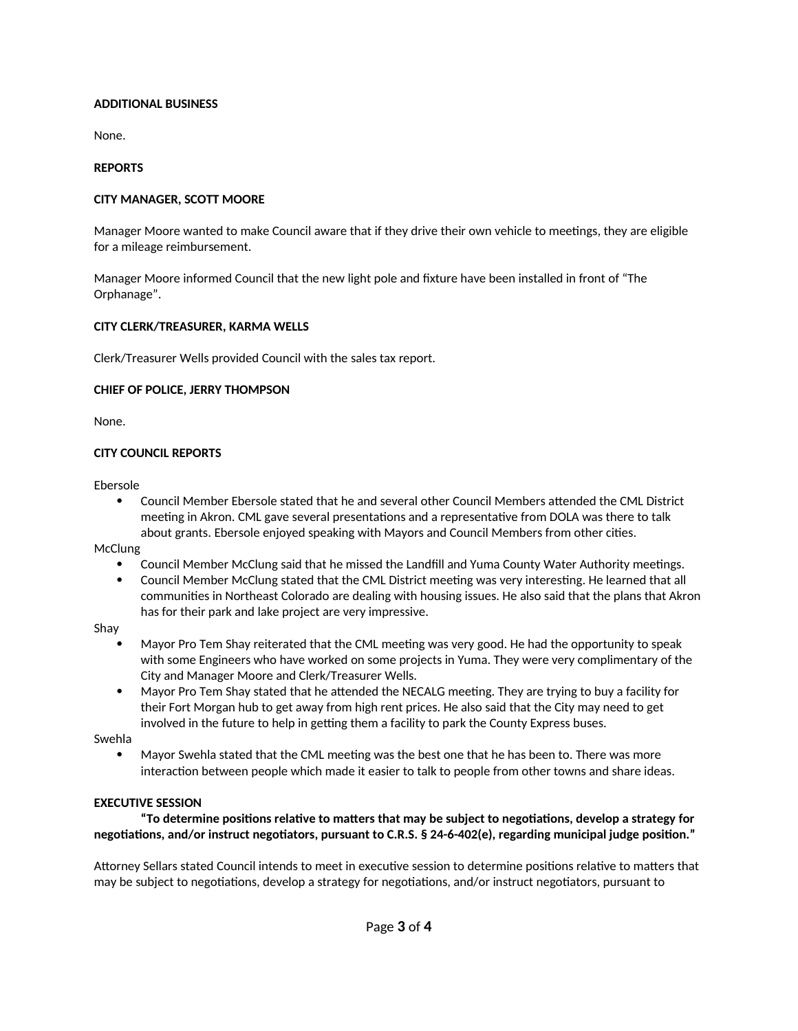# **ADDITIONAL BUSINESS**

None.

#### **REPORTS**

### **CITY MANAGER, SCOTT MOORE**

Manager Moore wanted to make Council aware that if they drive their own vehicle to meetings, they are eligible for a mileage reimbursement.

Manager Moore informed Council that the new light pole and fixture have been installed in front of "The Orphanage".

### CITY CLERK/TREASURER, KARMA WELLS

Clerk/Treasurer Wells provided Council with the sales tax report.

### **CHIEF OF POLICE, JERRY THOMPSON**

None.

### **CITY COUNCIL REPORTS**

Ebersole

 $\bullet$ Council Member Ebersole stated that he and several other Council Members attended the CML District meeting in Akron. CML gave several presentations and a representative from DOLA was there to talk about grants. Ebersole enjoyed speaking with Mayors and Council Members from other cities.

McClung

- Council Member McClung said that he missed the Landfill and Yuma County Water Authority meetings.
- Council Member McClung stated that the CML District meeting was very interesting. He learned that all  $\bullet$ communities in Northeast Colorado are dealing with housing issues. He also said that the plans that Akron has for their park and lake project are very impressive.

Shay

- Mayor Pro Tem Shay reiterated that the CML meeting was very good. He had the opportunity to speak with some Engineers who have worked on some projects in Yuma. They were very complimentary of the City and Manager Moore and Clerk/Treasurer Wells.
- Mayor Pro Tem Shay stated that he attended the NECALG meeting. They are trying to buy a facility for their Fort Morgan hub to get away from high rent prices. He also said that the City may need to get involved in the future to help in getting them a facility to park the County Express buses.

Swehla

Mayor Swehla stated that the CML meeting was the best one that he has been to. There was more interaction between people which made it easier to talk to people from other towns and share ideas.

#### **EXECUTIVE SESSION**

"To determine positions relative to matters that may be subject to negotiations, develop a strategy for negotiations, and/or instruct negotiators, pursuant to C.R.S. § 24-6-402(e), regarding municipal judge position."

Attorney Sellars stated Council intends to meet in executive session to determine positions relative to matters that may be subject to negotiations, develop a strategy for negotiations, and/or instruct negotiators, pursuant to